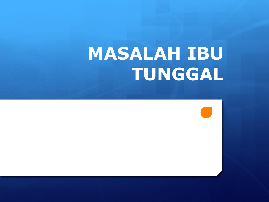# **MASALAH IBU TUNGGAL**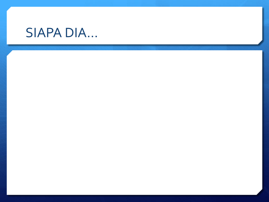## **SIAPA DIA...**

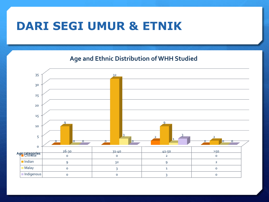### **DARI SEGI UMUR & ETNIK**

**Age and Ethnic Distribution of WHH Studied**

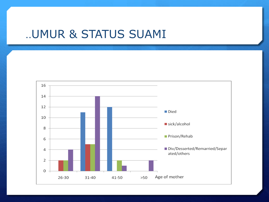### ..UMUR & STATUS SUAMI

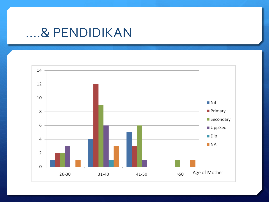### ....& PENDIDIKAN

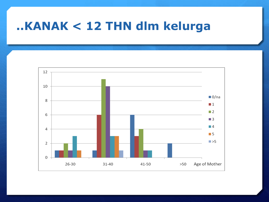### ..KANAK < 12 THN dlm kelurga

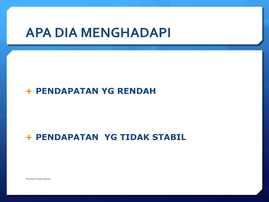### **APA DIA MENGHADAPI**

#### **PENDAPATAN YG RENDAH**

#### **+ PENDAPATAN YG TIDAK STABIL**

PINJAMAN PERRUMAHAN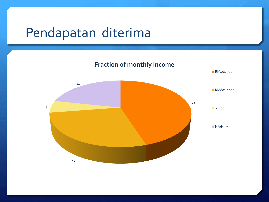## Pendapatan diterima

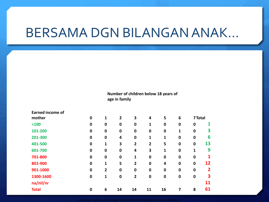## BERSAMA DGN BILANGAN ANAK…

**Number of children below 18 years of age in family**

| <b>Earned income of</b> |             |                |                |                |                |                         |             |             |                |
|-------------------------|-------------|----------------|----------------|----------------|----------------|-------------------------|-------------|-------------|----------------|
| mother                  | $\mathbf 0$ | 1              | $\overline{2}$ | 3              | 4              | 5                       | 6           | 7 Total     |                |
| $100$                   | $\mathbf 0$ | 0              | $\mathbf 0$    | $\mathbf 0$    | 1              | $\mathbf 0$             | $\bf{0}$    | $\mathbf 0$ | 1              |
| 101-200                 | $\mathbf 0$ | $\mathbf 0$    | $\mathbf 0$    | $\mathbf 0$    | $\mathbf 0$    | $\mathbf 0$             | 1           | $\mathbf 0$ | 3              |
| 201-300                 | $\mathbf 0$ | $\mathbf 0$    | 4              | $\mathbf 0$    | 1              | 1                       | $\mathbf 0$ | $\mathbf 0$ | 6              |
| 401-500                 | $\mathbf 0$ | 1              | 3              | $\overline{2}$ | $\overline{2}$ | 5                       | $\mathbf 0$ | $\mathbf 0$ | 13             |
| 601-700                 | $\mathbf 0$ | 0              | $\mathbf 0$    | 4              | 3              | 1                       | $\mathbf 0$ | 1           | 9              |
| 701-800                 | $\mathbf 0$ | $\mathbf 0$    | $\mathbf 0$    | 1              | $\mathbf 0$    | $\mathbf 0$             | $\mathbf 0$ | $\mathbf 0$ |                |
| 801-900                 | $\mathbf 0$ | 1              | 5              | $\overline{2}$ | $\mathbf 0$    | $\overline{\mathbf{4}}$ | $\mathbf 0$ | $\mathbf 0$ | 12             |
| 901-1000                | $\mathbf 0$ | $\overline{2}$ | $\mathbf 0$    | $\mathbf 0$    | $\mathbf 0$    | $\mathbf 0$             | $\mathbf 0$ | $\mathbf 0$ | $\overline{2}$ |
| 1300-1600               | $\mathbf 0$ | 1              | $\mathbf 0$    | $\overline{2}$ | $\mathbf 0$    | $\mathbf 0$             | $\mathbf 0$ | $\mathbf 0$ | 3              |
| na/nil/nr               |             |                |                |                |                |                         |             |             | 11             |
| <b>Total</b>            | $\mathbf 0$ | 6              | 14             | 14             | 11             | 16                      | 7           | 8           | 61             |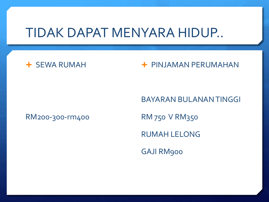### TIDAK DAPAT MENYARA HIDUP..

#### **+ SEWA RUMAH**

#### **+ PINJAMAN PERUMAHAN**

#### RM200-300-rm400

BAYARAN BULANAN TINGGI RM 750 V RM350 RUMAH LELONG GAJI RM900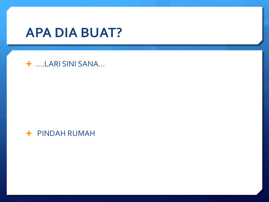## **APA DIA BUAT?**

#### + ....LARI SINI SANA...

+ PINDAH RUMAH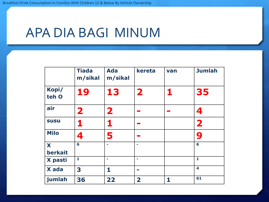## APA DIA BAGI MINUM

|                | <b>Tiada</b><br>m/sikal | <b>Ada</b><br>m/sikal | kereta         | van | <b>Jumlah</b>           |
|----------------|-------------------------|-----------------------|----------------|-----|-------------------------|
| Kopi/<br>teh O | 19                      | 13                    | $\mathbf{2}$   | 1   | 35                      |
| air            | $\overline{\mathbf{2}}$ | $\mathbf 2$           |                |     | 4                       |
| <b>SUSU</b>    | 1                       |                       |                |     | $\overline{\mathbf{2}}$ |
| <b>Milo</b>    | 4                       | 5                     |                |     | 9                       |
| X<br>berkait   | 6                       |                       | ۰              |     | 6                       |
| X pasti        | $\mathbf{1}$            | ÷                     | ۰              |     | $\mathbf{1}$            |
| X ada          | 3                       | 1                     | <b>COLLEGE</b> |     | 4                       |
| jumlah         | 36                      | 22                    | $\mathbf{2}$   | 1   | 61                      |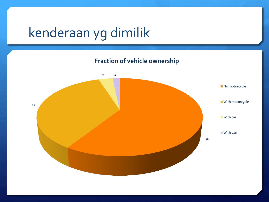# kenderaan yg dimilik

**Fraction of vehicle ownership**

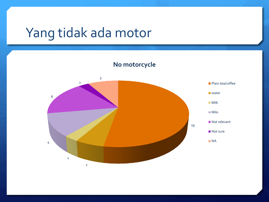## Yang tidak ada motor

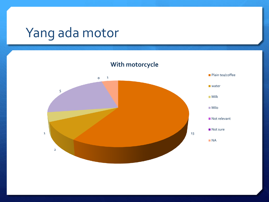# Yang ada motor

13 2 1 5 0 1 **With motorcycle** Plain tea/coffee **Water** Milk Milo Not relevant ■ Not sure NA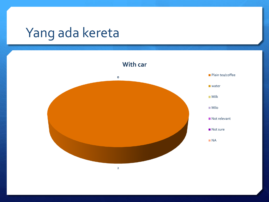# Yang ada kereta

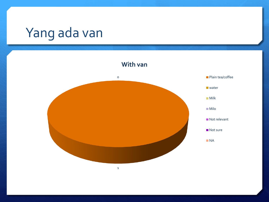# Yang ada van

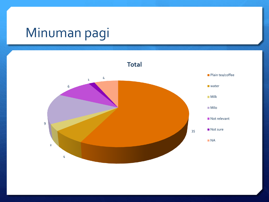## Minuman pagi

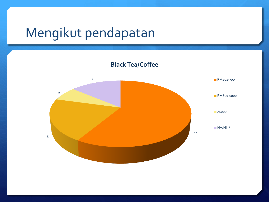## Mengikut pendapatan

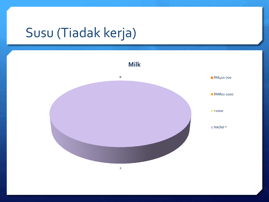# Susu (Tiadak kerja)

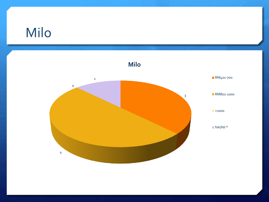## Milo

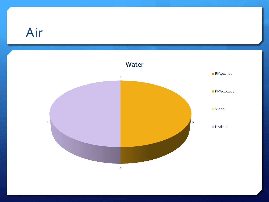## Air

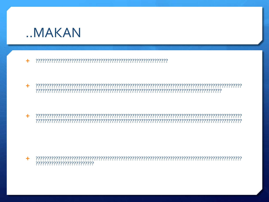

÷.

÷ 

 $+$ 

 $\ddot{\phantom{1}}$ ??????????????????????????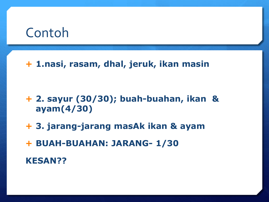### Contoh

#### **1.nasi, rasam, dhal, jeruk, ikan masin**

- **2. sayur (30/30); buah-buahan, ikan & ayam(4/30)**
- **3. jarang-jarang masAk ikan & ayam**
- **BUAH-BUAHAN: JARANG- 1/30**

**KESAN??**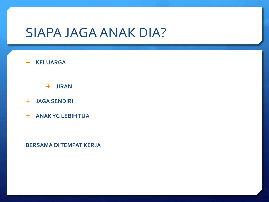### **SIAPA JAGA ANAK DIA?**

#### **+ KELUARGA**

 $+$  JIRAN

- **+ JAGA SENDIRI**
- + ANAKYG LEBIH TUA

**BERSAMA DITEMPAT KERJA**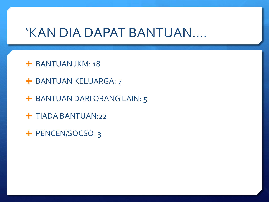### 'KAN DIA DAPAT BANTUAN….

- **+ BANTUAN JKM: 18**
- + BANTUAN KELUARGA: 7
- + BANTUAN DARI ORANG LAIN: 5
- **+ TIADA BANTUAN:22**
- + PENCEN/SOCSO: 3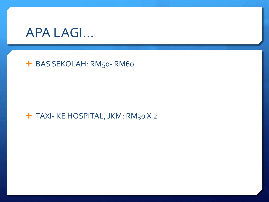

#### + BAS SEKOLAH: RM50-RM60

#### + TAXI- KE HOSPITAL, JKM: RM30 X 2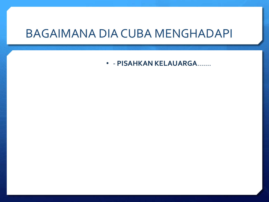#### **BAGAIMANA DIA CUBA MENGHADAPI**

• - PISAHKAN KELAUARGA.......